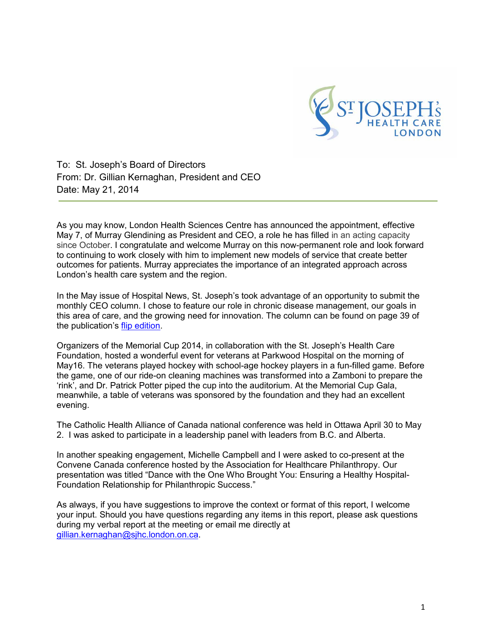

To: St. Joseph's Board of Directors From: Dr. Gillian Kernaghan, President and CEO Date: May 21, 2014

As you may know, London Health Sciences Centre has announced the appointment, effective May 7, of Murray Glendining as President and CEO, a role he has filled in an acting capacity since October. I congratulate and welcome Murray on this now-permanent role and look forward to continuing to work closely with him to implement new models of service that create better outcomes for patients. Murray appreciates the importance of an integrated approach across London's health care system and the region.

In the May issue of Hospital News, St. Joseph's took advantage of an opportunity to submit the monthly CEO column. I chose to feature our role in chronic disease management, our goals in this area of care, and the growing need for innovation. The column can be found on page 39 of the publication's [flip edition.](http://issuu.com/hospitalnews/docs/flip_hosp__nurse_050314_edit?e=8107642/7685314)

Organizers of the Memorial Cup 2014, in collaboration with the St. Joseph's Health Care Foundation, hosted a wonderful event for veterans at Parkwood Hospital on the morning of May16. The veterans played hockey with school-age hockey players in a fun-filled game. Before the game, one of our ride-on cleaning machines was transformed into a Zamboni to prepare the 'rink', and Dr. Patrick Potter piped the cup into the auditorium. At the Memorial Cup Gala, meanwhile, a table of veterans was sponsored by the foundation and they had an excellent evening.

The Catholic Health Alliance of Canada national conference was held in Ottawa April 30 to May 2. I was asked to participate in a leadership panel with leaders from B.C. and Alberta.

In another speaking engagement, Michelle Campbell and I were asked to co-present at the Convene Canada conference hosted by the Association for Healthcare Philanthropy. Our presentation was titled "Dance with the One Who Brought You: Ensuring a Healthy Hospital-Foundation Relationship for Philanthropic Success."

As always, if you have suggestions to improve the context or format of this report, I welcome your input. Should you have questions regarding any items in this report, please ask questions during my verbal report at the meeting or email me directly at gillian.kernaghan@sjhc.london.on.ca.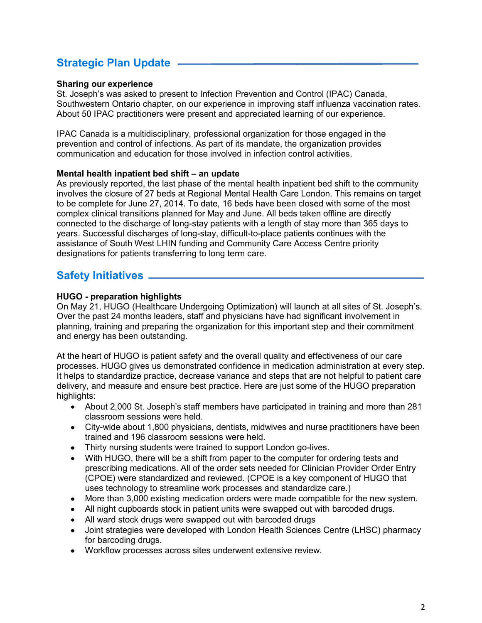# **Strategic Plan Update**

# **Sharing our experience**

St. Joseph's was asked to present to Infection Prevention and Control (IPAC) Canada, Southwestern Ontario chapter, on our experience in improving staff influenza vaccination rates. About 50 IPAC practitioners were present and appreciated learning of our experience.

IPAC Canada is a multidisciplinary, professional organization for those engaged in the prevention and control of infections. As part of its mandate, the organization provides communication and education for those involved in infection control activities.

## **Mental health inpatient bed shift – an update**

As previously reported, the last phase of the mental health inpatient bed shift to the community involves the closure of 27 beds at Regional Mental Health Care London. This remains on target to be complete for June 27, 2014. To date, 16 beds have been closed with some of the most complex clinical transitions planned for May and June. All beds taken offline are directly connected to the discharge of long-stay patients with a length of stay more than 365 days to years. Successful discharges of long-stay, difficult-to-place patients continues with the assistance of South West LHIN funding and Community Care Access Centre priority designations for patients transferring to long term care.

# **Safety Initiatives**

# **HUGO - preparation highlights**

On May 21, HUGO (Healthcare Undergoing Optimization) will launch at all sites of St. Joseph's. Over the past 24 months leaders, staff and physicians have had significant involvement in planning, training and preparing the organization for this important step and their commitment and energy has been outstanding.

At the heart of HUGO is patient safety and the overall quality and effectiveness of our care processes. HUGO gives us demonstrated confidence in medication administration at every step. It helps to standardize practice, decrease variance and steps that are not helpful to patient care delivery, and measure and ensure best practice. Here are just some of the HUGO preparation highlights:

- About 2,000 St. Joseph's staff members have participated in training and more than 281 classroom sessions were held.
- City-wide about 1,800 physicians, dentists, midwives and nurse practitioners have been trained and 196 classroom sessions were held.
- Thirty nursing students were trained to support London go-lives.
- With HUGO, there will be a shift from paper to the computer for ordering tests and prescribing medications. All of the order sets needed for Clinician Provider Order Entry (CPOE) were standardized and reviewed. (CPOE is a key component of HUGO that uses technology to streamline work processes and standardize care.)
- More than 3,000 existing medication orders were made compatible for the new system.
- All night cupboards stock in patient units were swapped out with barcoded drugs.
- All ward stock drugs were swapped out with barcoded drugs
- Joint strategies were developed with London Health Sciences Centre (LHSC) pharmacy for barcoding drugs.
- Workflow processes across sites underwent extensive review.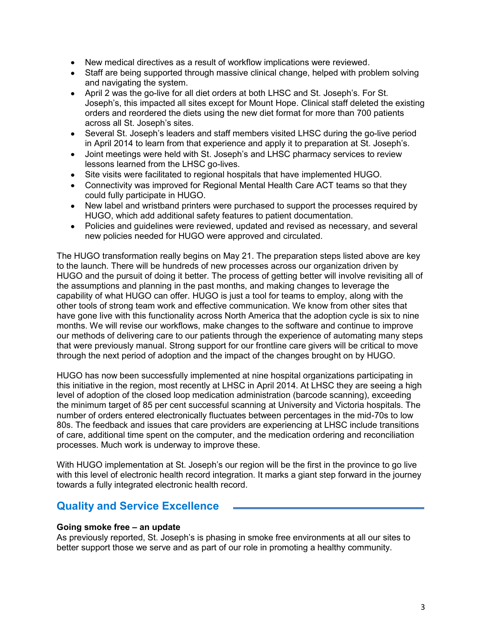- New medical directives as a result of workflow implications were reviewed.
- Staff are being supported through massive clinical change, helped with problem solving and navigating the system.
- April 2 was the go-live for all diet orders at both LHSC and St. Joseph's. For St. Joseph's, this impacted all sites except for Mount Hope. Clinical staff deleted the existing orders and reordered the diets using the new diet format for more than 700 patients across all St. Joseph's sites.
- Several St. Joseph's leaders and staff members visited LHSC during the go-live period in April 2014 to learn from that experience and apply it to preparation at St. Joseph's.
- Joint meetings were held with St. Joseph's and LHSC pharmacy services to review lessons learned from the LHSC go-lives.
- Site visits were facilitated to regional hospitals that have implemented HUGO.
- Connectivity was improved for Regional Mental Health Care ACT teams so that they could fully participate in HUGO.
- New label and wristband printers were purchased to support the processes required by HUGO, which add additional safety features to patient documentation.
- Policies and guidelines were reviewed, updated and revised as necessary, and several new policies needed for HUGO were approved and circulated.

The HUGO transformation really begins on May 21. The preparation steps listed above are key to the launch. There will be hundreds of new processes across our organization driven by HUGO and the pursuit of doing it better. The process of getting better will involve revisiting all of the assumptions and planning in the past months, and making changes to leverage the capability of what HUGO can offer. HUGO is just a tool for teams to employ, along with the other tools of strong team work and effective communication. We know from other sites that have gone live with this functionality across North America that the adoption cycle is six to nine months. We will revise our workflows, make changes to the software and continue to improve our methods of delivering care to our patients through the experience of automating many steps that were previously manual. Strong support for our frontline care givers will be critical to move through the next period of adoption and the impact of the changes brought on by HUGO.

HUGO has now been successfully implemented at nine hospital organizations participating in this initiative in the region, most recently at LHSC in April 2014. At LHSC they are seeing a high level of adoption of the closed loop medication administration (barcode scanning), exceeding the minimum target of 85 per cent successful scanning at University and Victoria hospitals. The number of orders entered electronically fluctuates between percentages in the mid-70s to low 80s. The feedback and issues that care providers are experiencing at LHSC include transitions of care, additional time spent on the computer, and the medication ordering and reconciliation processes. Much work is underway to improve these.

With HUGO implementation at St. Joseph's our region will be the first in the province to go live with this level of electronic health record integration. It marks a giant step forward in the journey towards a fully integrated electronic health record.

# **Quality and Service Excellence**

# **Going smoke free – an update**

As previously reported, St. Joseph's is phasing in smoke free environments at all our sites to better support those we serve and as part of our role in promoting a healthy community.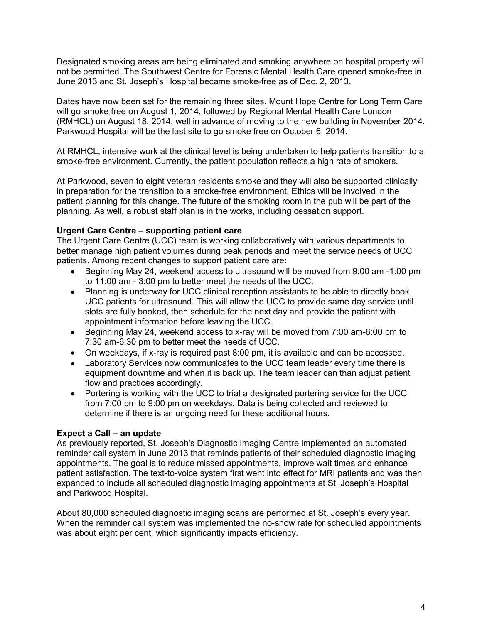Designated smoking areas are being eliminated and smoking anywhere on hospital property will not be permitted. The Southwest Centre for Forensic Mental Health Care opened smoke-free in June 2013 and St. Joseph's Hospital became smoke-free as of Dec. 2, 2013.

Dates have now been set for the remaining three sites. Mount Hope Centre for Long Term Care will go smoke free on August 1, 2014, followed by Regional Mental Health Care London (RMHCL) on August 18, 2014, well in advance of moving to the new building in November 2014. Parkwood Hospital will be the last site to go smoke free on October 6, 2014.

At RMHCL, intensive work at the clinical level is being undertaken to help patients transition to a smoke-free environment. Currently, the patient population reflects a high rate of smokers.

At Parkwood, seven to eight veteran residents smoke and they will also be supported clinically in preparation for the transition to a smoke-free environment. Ethics will be involved in the patient planning for this change. The future of the smoking room in the pub will be part of the planning. As well, a robust staff plan is in the works, including cessation support.

# **Urgent Care Centre – supporting patient care**

The Urgent Care Centre (UCC) team is working collaboratively with various departments to better manage high patient volumes during peak periods and meet the service needs of UCC patients. Among recent changes to support patient care are:

- Beginning May 24, weekend access to ultrasound will be moved from 9:00 am -1:00 pm to 11:00 am - 3:00 pm to better meet the needs of the UCC.
- Planning is underway for UCC clinical reception assistants to be able to directly book UCC patients for ultrasound. This will allow the UCC to provide same day service until slots are fully booked, then schedule for the next day and provide the patient with appointment information before leaving the UCC.
- Beginning May 24, weekend access to x-ray will be moved from 7:00 am-6:00 pm to 7:30 am-6:30 pm to better meet the needs of UCC.
- On weekdays, if x-ray is required past 8:00 pm, it is available and can be accessed.
- Laboratory Services now communicates to the UCC team leader every time there is equipment downtime and when it is back up. The team leader can than adjust patient flow and practices accordingly.
- Portering is working with the UCC to trial a designated portering service for the UCC from 7:00 pm to 9:00 pm on weekdays. Data is being collected and reviewed to determine if there is an ongoing need for these additional hours.

# **Expect a Call – an update**

As previously reported, St. Joseph's Diagnostic Imaging Centre implemented an automated reminder call system in June 2013 that reminds patients of their scheduled diagnostic imaging appointments. The goal is to reduce missed appointments, improve wait times and enhance patient satisfaction. The text-to-voice system first went into effect for MRI patients and was then expanded to include all scheduled diagnostic imaging appointments at St. Joseph's Hospital and Parkwood Hospital.

About 80,000 scheduled diagnostic imaging scans are performed at St. Joseph's every year. When the reminder call system was implemented the no-show rate for scheduled appointments was about eight per cent, which significantly impacts efficiency.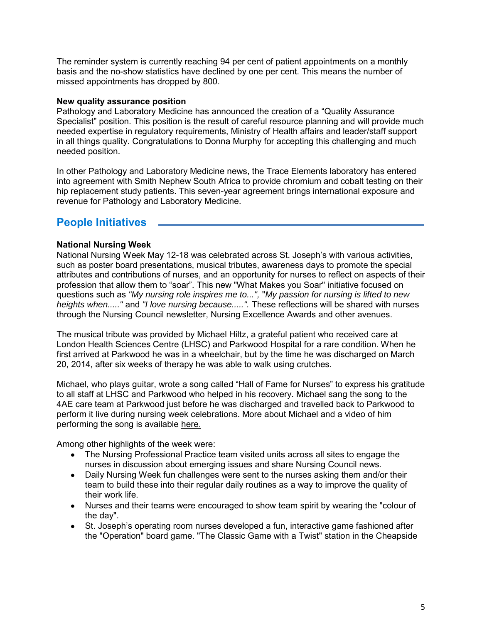The reminder system is currently reaching 94 per cent of patient appointments on a monthly basis and the no-show statistics have declined by one per cent. This means the number of missed appointments has dropped by 800.

## **New quality assurance position**

Pathology and Laboratory Medicine has announced the creation of a "Quality Assurance Specialist" position. This position is the result of careful resource planning and will provide much needed expertise in regulatory requirements, Ministry of Health affairs and leader/staff support in all things quality. Congratulations to Donna Murphy for accepting this challenging and much needed position.

In other Pathology and Laboratory Medicine news, the Trace Elements laboratory has entered into agreement with Smith Nephew South Africa to provide chromium and cobalt testing on their hip replacement study patients. This seven-year agreement brings international exposure and revenue for Pathology and Laboratory Medicine.

# **People Initiatives**

# **National Nursing Week**

National Nursing Week May 12-18 was celebrated across St. Joseph's with various activities, such as poster board presentations, musical tributes, awareness days to promote the special attributes and contributions of nurses, and an opportunity for nurses to reflect on aspects of their profession that allow them to "soar". This new "What Makes you Soar" initiative focused on questions such as *"My nursing role inspires me to...",* "*My passion for nursing is lifted to new heights when....."* and *"I love nursing because.....".* These reflections will be shared with nurses through the Nursing Council newsletter, Nursing Excellence Awards and other avenues.

The musical tribute was provided by Michael Hiltz, a grateful patient who received care at London Health Sciences Centre (LHSC) and Parkwood Hospital for a rare condition. When he first arrived at Parkwood he was in a wheelchair, but by the time he was discharged on March 20, 2014, after six weeks of therapy he was able to walk using crutches.

Michael, who plays guitar, wrote a song called "Hall of Fame for Nurses" to express his gratitude to all staff at LHSC and Parkwood who helped in his recovery. Michael sang the song to the 4AE care team at Parkwood just before he was discharged and travelled back to Parkwood to perform it live during nursing week celebrations. More about Michael and a video of him performing the song is available here.

Among other highlights of the week were:

- The Nursing Professional Practice team visited units across all sites to engage the nurses in discussion about emerging issues and share Nursing Council news.
- Daily Nursing Week fun challenges were sent to the nurses asking them and/or their team to build these into their regular daily routines as a way to improve the quality of their work life.
- Nurses and their teams were encouraged to show team spirit by wearing the "colour of the day".
- St. Joseph's operating room nurses developed a fun, interactive game fashioned after the "Operation" board game. "The Classic Game with a Twist" station in the Cheapside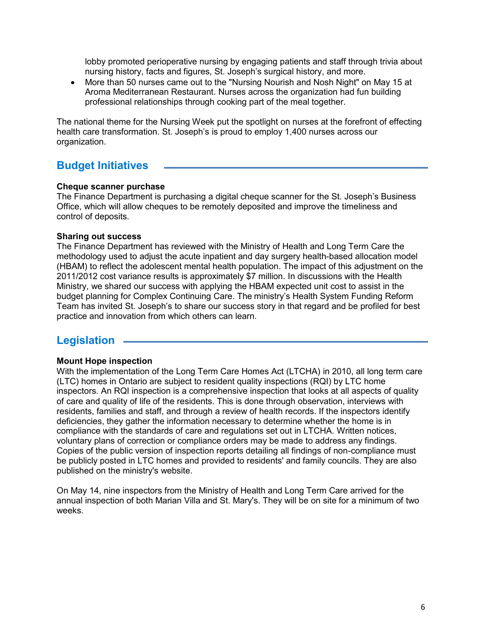lobby promoted perioperative nursing by engaging patients and staff through trivia about nursing history, facts and figures, St. Joseph's surgical history, and more.

 $\bullet$ More than 50 nurses came out to the "Nursing Nourish and Nosh Night" on May 15 at Aroma Mediterranean Restaurant. Nurses across the organization had fun building professional relationships through cooking part of the meal together.

The national theme for the Nursing Week put the spotlight on nurses at the forefront of effecting health care transformation. St. Joseph's is proud to employ 1,400 nurses across our organization.

# **Budget Initiatives**

## **Cheque scanner purchase**

The Finance Department is purchasing a digital cheque scanner for the St. Joseph's Business Office, which will allow cheques to be remotely deposited and improve the timeliness and control of deposits.

## **Sharing out success**

The Finance Department has reviewed with the Ministry of Health and Long Term Care the methodology used to adjust the acute inpatient and day surgery health-based allocation model (HBAM) to reflect the adolescent mental health population. The impact of this adjustment on the 2011/2012 cost variance results is approximately \$7 million. In discussions with the Health Ministry, we shared our success with applying the HBAM expected unit cost to assist in the budget planning for Complex Continuing Care. The ministry's Health System Funding Reform Team has invited St. Joseph's to share our success story in that regard and be profiled for best practice and innovation from which others can learn.

# **Legislation**

# **Mount Hope inspection**

With the implementation of the Long Term Care Homes Act (LTCHA) in 2010, all long term care (LTC) homes in Ontario are subject to resident quality inspections (RQI) by LTC home inspectors. An RQI inspection is a comprehensive inspection that looks at all aspects of quality of care and quality of life of the residents. This is done through observation, interviews with residents, families and staff, and through a review of health records. If the inspectors identify deficiencies, they gather the information necessary to determine whether the home is in compliance with the standards of care and regulations set out in LTCHA. Written notices, voluntary plans of correction or compliance orders may be made to address any findings. Copies of the public version of inspection reports detailing all findings of non-compliance must be publicly posted in LTC homes and provided to residents' and family councils. They are also published on the ministry's website.

On May 14, nine inspectors from the Ministry of Health and Long Term Care arrived for the annual inspection of both Marian Villa and St. Mary's. They will be on site for a minimum of two weeks.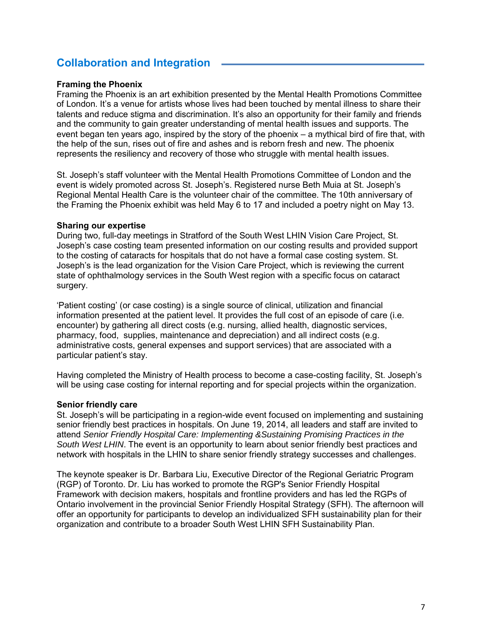# **Collaboration and Integration**

## **Framing the Phoenix**

Framing the Phoenix is an art exhibition presented by the Mental Health Promotions Committee of London. It's a venue for artists whose lives had been touched by mental illness to share their talents and reduce stigma and discrimination. It's also an opportunity for their family and friends and the community to gain greater understanding of mental health issues and supports. The event began ten years ago, inspired by the story of the phoenix – a mythical bird of fire that, with the help of the sun, rises out of fire and ashes and is reborn fresh and new. The phoenix represents the resiliency and recovery of those who struggle with mental health issues.

St. Joseph's staff volunteer with the Mental Health Promotions Committee of London and the event is widely promoted across St. Joseph's. Registered nurse Beth Muia at St. Joseph's Regional Mental Health Care is the volunteer chair of the committee. The 10th anniversary of the Framing the Phoenix exhibit was held May 6 to 17 and included a poetry night on May 13.

## **Sharing our expertise**

During two, full-day meetings in Stratford of the South West LHIN Vision Care Project, St. Joseph's case costing team presented information on our costing results and provided support to the costing of cataracts for hospitals that do not have a formal case costing system. St. Joseph's is the lead organization for the Vision Care Project, which is reviewing the current state of ophthalmology services in the South West region with a specific focus on cataract surgery.

'Patient costing' (or case costing) is a single source of clinical, utilization and financial information presented at the patient level. It provides the full cost of an episode of care (i.e. encounter) by gathering all direct costs (e.g. nursing, allied health, diagnostic services, pharmacy, food, supplies, maintenance and depreciation) and all indirect costs (e.g. administrative costs, general expenses and support services) that are associated with a particular patient's stay.

Having completed the Ministry of Health process to become a case-costing facility, St. Joseph's will be using case costing for internal reporting and for special projects within the organization.

#### **Senior friendly care**

St. Joseph's will be participating in a region-wide event focused on implementing and sustaining senior friendly best practices in hospitals. On June 19, 2014, all leaders and staff are invited to attend *Senior Friendly Hospital Care: Implementing &Sustaining Promising Practices in the South West LHIN*. The event is an opportunity to learn about senior friendly best practices and network with hospitals in the LHIN to share senior friendly strategy successes and challenges.

The keynote speaker is Dr. Barbara Liu, Executive Director of the Regional Geriatric Program (RGP) of Toronto. Dr. Liu has worked to promote the RGP's Senior Friendly Hospital Framework with decision makers, hospitals and frontline providers and has led the RGPs of Ontario involvement in the provincial Senior Friendly Hospital Strategy (SFH). The afternoon will offer an opportunity for participants to develop an individualized SFH sustainability plan for their organization and contribute to a broader South West LHIN SFH Sustainability Plan.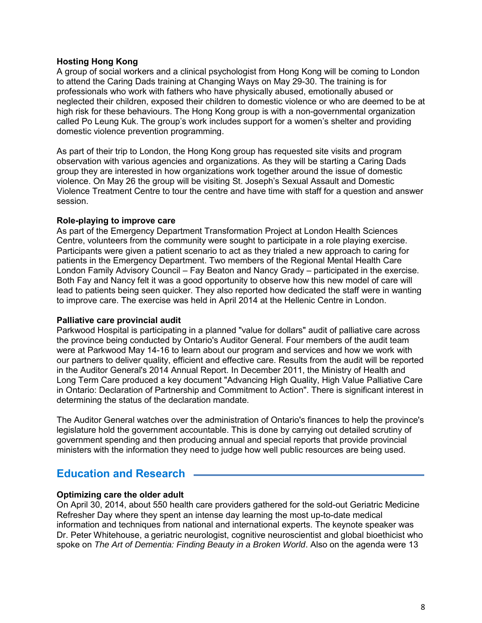## **Hosting Hong Kong**

A group of social workers and a clinical psychologist from Hong Kong will be coming to London to attend the Caring Dads training at Changing Ways on May 29-30. The training is for professionals who work with fathers who have physically abused, emotionally abused or neglected their children, exposed their children to domestic violence or who are deemed to be at high risk for these behaviours. The Hong Kong group is with a non-governmental organization called Po Leung Kuk. The group's work includes support for a women's shelter and providing domestic violence prevention programming.

As part of their trip to London, the Hong Kong group has requested site visits and program observation with various agencies and organizations. As they will be starting a Caring Dads group they are interested in how organizations work together around the issue of domestic violence. On May 26 the group will be visiting St. Joseph's Sexual Assault and Domestic Violence Treatment Centre to tour the centre and have time with staff for a question and answer session.

## **Role-playing to improve care**

As part of the Emergency Department Transformation Project at London Health Sciences Centre, volunteers from the community were sought to participate in a role playing exercise. Participants were given a patient scenario to act as they trialed a new approach to caring for patients in the Emergency Department. Two members of the Regional Mental Health Care London Family Advisory Council – Fay Beaton and Nancy Grady – participated in the exercise. Both Fay and Nancy felt it was a good opportunity to observe how this new model of care will lead to patients being seen quicker. They also reported how dedicated the staff were in wanting to improve care. The exercise was held in April 2014 at the Hellenic Centre in London.

# **Palliative care provincial audit**

Parkwood Hospital is participating in a planned "value for dollars" audit of palliative care across the province being conducted by Ontario's Auditor General. Four members of the audit team were at Parkwood May 14-16 to learn about our program and services and how we work with our partners to deliver quality, efficient and effective care. Results from the audit will be reported in the Auditor General's 2014 Annual Report. In December 2011, the Ministry of Health and Long Term Care produced a key document "Advancing High Quality, High Value Palliative Care in Ontario: Declaration of Partnership and Commitment to Action". There is significant interest in determining the status of the declaration mandate.

The Auditor General watches over the administration of Ontario's finances to help the province's legislature hold the government accountable. This is done by carrying out detailed scrutiny of government spending and then producing annual and special reports that provide provincial ministers with the information they need to judge how well public resources are being used.

# **Education and Research**

# **Optimizing care the older adult**

On April 30, 2014, about 550 health care providers gathered for the sold-out Geriatric Medicine Refresher Day where they spent an intense day learning the most up-to-date medical information and techniques from national and international experts. The keynote speaker was Dr. Peter Whitehouse, a geriatric neurologist, cognitive neuroscientist and global bioethicist who spoke on *The Art of Dementia: Finding Beauty in a Broken World*. Also on the agenda were 13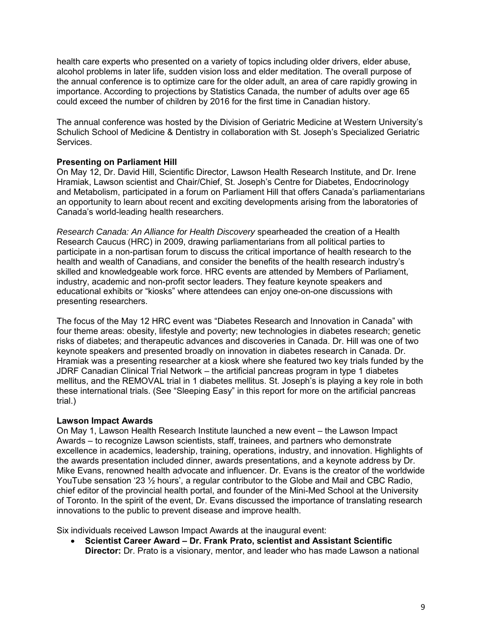health care experts who presented on a variety of topics including older drivers, elder abuse, alcohol problems in later life, sudden vision loss and elder meditation. The overall purpose of the annual conference is to optimize care for the older adult, an area of care rapidly growing in importance. According to projections by Statistics Canada, the number of adults over age 65 could exceed the number of children by 2016 for the first time in Canadian history.

The annual conference was hosted by the Division of Geriatric Medicine at Western University's Schulich School of Medicine & Dentistry in collaboration with St. Joseph's Specialized Geriatric Services.

# **Presenting on Parliament Hill**

On May 12, Dr. David Hill, Scientific Director, Lawson Health Research Institute, and Dr. Irene Hramiak, Lawson scientist and Chair/Chief, St. Joseph's Centre for Diabetes, Endocrinology and Metabolism, participated in a forum on Parliament Hill that offers Canada's parliamentarians an opportunity to learn about recent and exciting developments arising from the laboratories of Canada's world-leading health researchers.

*Research Canada: An Alliance for Health Discovery* spearheaded the creation of a Health Research Caucus (HRC) in 2009, drawing parliamentarians from all political parties to participate in a non-partisan forum to discuss the critical importance of health research to the health and wealth of Canadians, and consider the benefits of the health research industry's skilled and knowledgeable work force. HRC events are attended by Members of Parliament, industry, academic and non-profit sector leaders. They feature keynote speakers and educational exhibits or "kiosks" where attendees can enjoy one-on-one discussions with presenting researchers.

The focus of the May 12 HRC event was "Diabetes Research and Innovation in Canada" with four theme areas: obesity, lifestyle and poverty; new technologies in diabetes research; genetic risks of diabetes; and therapeutic advances and discoveries in Canada. Dr. Hill was one of two keynote speakers and presented broadly on innovation in diabetes research in Canada. Dr. Hramiak was a presenting researcher at a kiosk where she featured two key trials funded by the JDRF Canadian Clinical Trial Network – the artificial pancreas program in type 1 diabetes mellitus, and the REMOVAL trial in 1 diabetes mellitus. St. Joseph's is playing a key role in both these international trials. (See "Sleeping Easy" in this report for more on the artificial pancreas trial.)

# **Lawson Impact Awards**

On May 1, Lawson Health Research Institute launched a new event – the Lawson Impact Awards – to recognize Lawson scientists, staff, trainees, and partners who demonstrate excellence in academics, leadership, training, operations, industry, and innovation. Highlights of the awards presentation included dinner, awards presentations, and a keynote address by Dr. Mike Evans, renowned health advocate and influencer. Dr. Evans is the creator of the worldwide YouTube sensation '23 ½ hours', a regular contributor to the Globe and Mail and CBC Radio, chief editor of the provincial health portal, and founder of the Mini-Med School at the University of Toronto. In the spirit of the event, Dr. Evans discussed the importance of translating research innovations to the public to prevent disease and improve health.

Six individuals received Lawson Impact Awards at the inaugural event:

**Scientist Career Award – Dr. Frank Prato, scientist and Assistant Scientific Director:** Dr. Prato is a visionary, mentor, and leader who has made Lawson a national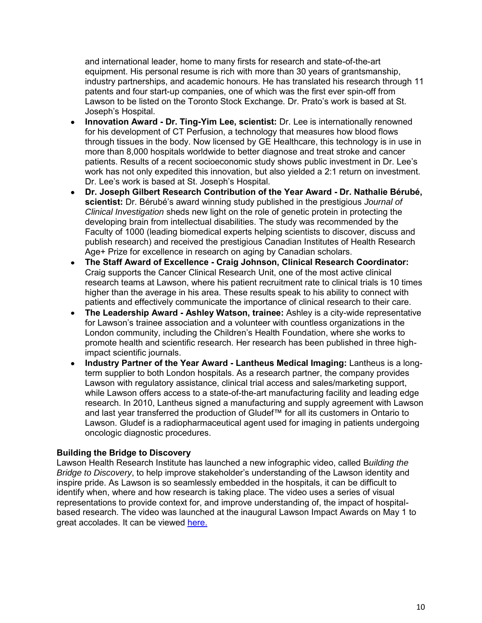and international leader, home to many firsts for research and state-of-the-art equipment. His personal resume is rich with more than 30 years of grantsmanship, industry partnerships, and academic honours. He has translated his research through 11 patents and four start-up companies, one of which was the first ever spin-off from Lawson to be listed on the Toronto Stock Exchange. Dr. Prato's work is based at St. Joseph's Hospital.

- **Innovation Award Dr. Ting-Yim Lee, scientist:** Dr. Lee is internationally renowned  $\bullet$ for his development of CT Perfusion, a technology that measures how blood flows through tissues in the body. Now licensed by GE Healthcare, this technology is in use in more than 8,000 hospitals worldwide to better diagnose and treat stroke and cancer patients. Results of a recent socioeconomic study shows public investment in Dr. Lee's work has not only expedited this innovation, but also yielded a 2:1 return on investment. Dr. Lee's work is based at St. Joseph's Hospital.
- **Dr. Joseph Gilbert Research Contribution of the Year Award Dr. Nathalie Bérubé, scientist:** Dr. Bérubé's award winning study published in the prestigious *Journal of Clinical Investigation* sheds new light on the role of genetic protein in protecting the developing brain from intellectual disabilities. The study was recommended by the Faculty of 1000 (leading biomedical experts helping scientists to discover, discuss and publish research) and received the prestigious Canadian Institutes of Health Research Age+ Prize for excellence in research on aging by Canadian scholars.
- **The Staff Award of Excellence Craig Johnson, Clinical Research Coordinator:** Craig supports the Cancer Clinical Research Unit, one of the most active clinical research teams at Lawson, where his patient recruitment rate to clinical trials is 10 times higher than the average in his area. These results speak to his ability to connect with patients and effectively communicate the importance of clinical research to their care.
- **The Leadership Award Ashley Watson, trainee:** Ashley is a city-wide representative  $\bullet$ for Lawson's trainee association and a volunteer with countless organizations in the London community, including the Children's Health Foundation, where she works to promote health and scientific research. Her research has been published in three highimpact scientific journals.
- **Industry Partner of the Year Award Lantheus Medical Imaging:** Lantheus is a longterm supplier to both London hospitals. As a research partner, the company provides Lawson with regulatory assistance, clinical trial access and sales/marketing support, while Lawson offers access to a state-of-the-art manufacturing facility and leading edge research. In 2010, Lantheus signed a manufacturing and supply agreement with Lawson and last year transferred the production of Gludef™ for all its customers in Ontario to Lawson. Gludef is a radiopharmaceutical agent used for imaging in patients undergoing oncologic diagnostic procedures.

# **Building the Bridge to Discovery**

Lawson Health Research Institute has launched a new infographic video, called B*uilding the Bridge to Discovery*, to help improve stakeholder's understanding of the Lawson identity and inspire pride. As Lawson is so seamlessly embedded in the hospitals, it can be difficult to identify when, where and how research is taking place. The video uses a series of visual representations to provide context for, and improve understanding of, the impact of hospitalbased research. The video was launched at the inaugural Lawson Impact Awards on May 1 to great accolades. It can be viewed [here.](https://www.youtube.com/watch?v=1pAq-TXQhWc)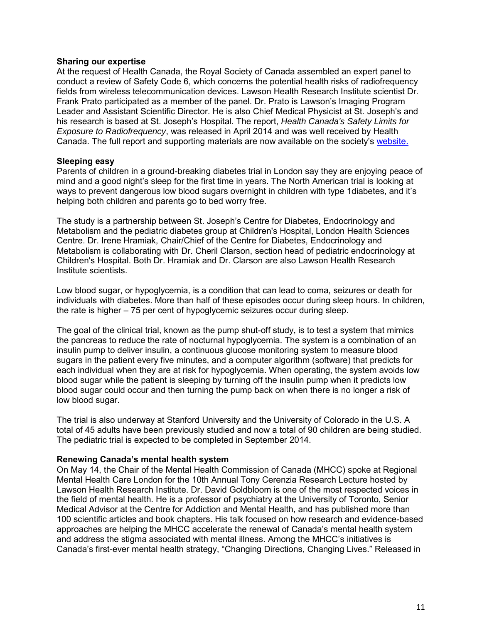## **Sharing our expertise**

At the request of Health Canada, the Royal Society of Canada assembled an expert panel to conduct a review of Safety Code 6, which concerns the potential health risks of radiofrequency fields from wireless telecommunication devices. Lawson Health Research Institute scientist Dr. Frank Prato participated as a member of the panel. Dr. Prato is Lawson's Imaging Program Leader and Assistant Scientific Director. He is also Chief Medical Physicist at St. Joseph's and his research is based at St. Joseph's Hospital. The report, *Health Canada's Safety Limits for Exposure to Radiofrequency*, was released in April 2014 and was well received by Health Canada. The full report and supporting materials are now available on the society's [website.](https://rsc-src.ca/en/about-us/our-people/our-priorities/review-safety-code-6-2013-health-canada%E2%80%99s-safety-limits-for)

# **Sleeping easy**

Parents of children in a ground-breaking diabetes trial in London say they are enjoying peace of mind and a good night's sleep for the first time in years. The North American trial is looking at ways to prevent dangerous low blood sugars overnight in children with type 1diabetes, and it's helping both children and parents go to bed worry free.

The study is a partnership between St. Joseph's Centre for Diabetes, Endocrinology and Metabolism and the pediatric diabetes group at Children's Hospital, London Health Sciences Centre. Dr. Irene Hramiak, Chair/Chief of the Centre for Diabetes, Endocrinology and Metabolism is collaborating with Dr. Cheril Clarson, section head of pediatric endocrinology at Children's Hospital. Both Dr. Hramiak and Dr. Clarson are also Lawson Health Research Institute scientists.

Low blood sugar, or hypoglycemia, is a condition that can lead to coma, seizures or death for individuals with diabetes. More than half of these episodes occur during sleep hours. In children, the rate is higher – 75 per cent of hypoglycemic seizures occur during sleep.

The goal of the clinical trial, known as the pump shut-off study, is to test a system that mimics the pancreas to reduce the rate of nocturnal hypoglycemia. The system is a combination of an insulin pump to deliver insulin, a continuous glucose monitoring system to measure blood sugars in the patient every five minutes, and a computer algorithm (software) that predicts for each individual when they are at risk for hypoglycemia. When operating, the system avoids low blood sugar while the patient is sleeping by turning off the insulin pump when it predicts low blood sugar could occur and then turning the pump back on when there is no longer a risk of low blood sugar.

The trial is also underway at Stanford University and the University of Colorado in the U.S. A total of 45 adults have been previously studied and now a total of 90 children are being studied. The pediatric trial is expected to be completed in September 2014.

#### **Renewing Canada's mental health system**

On May 14, the Chair of the Mental Health Commission of Canada (MHCC) spoke at Regional Mental Health Care London for the 10th Annual Tony Cerenzia Research Lecture hosted by Lawson Health Research Institute. Dr. David Goldbloom is one of the most respected voices in the field of mental health. He is a professor of psychiatry at the University of Toronto, Senior Medical Advisor at the Centre for Addiction and Mental Health, and has published more than 100 scientific articles and book chapters. His talk focused on how research and evidence-based approaches are helping the MHCC accelerate the renewal of Canada's mental health system and address the stigma associated with mental illness. Among the MHCC's initiatives is Canada's first-ever mental health strategy, "Changing Directions, Changing Lives." Released in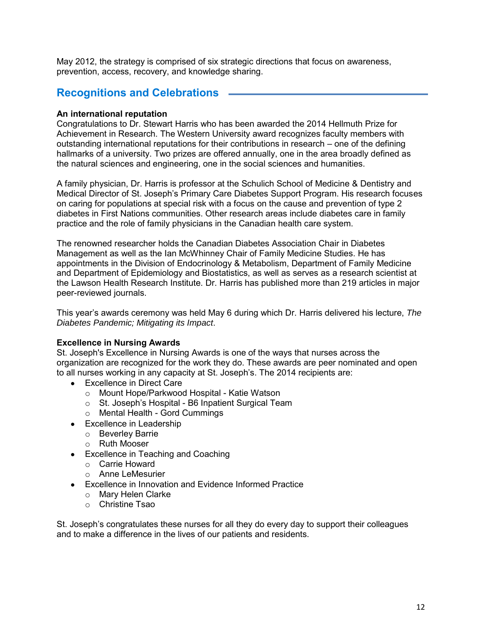May 2012, the strategy is comprised of six strategic directions that focus on awareness, prevention, access, recovery, and knowledge sharing.

# **Recognitions and Celebrations**

# **An international reputation**

Congratulations to Dr. Stewart Harris who has been awarded the 2014 Hellmuth Prize for Achievement in Research. The Western University award recognizes faculty members with outstanding international reputations for their contributions in research – one of the defining hallmarks of a university. Two prizes are offered annually, one in the area broadly defined as the natural sciences and engineering, one in the social sciences and humanities.

A family physician, Dr. Harris is professor at the Schulich School of Medicine & Dentistry and Medical Director of St. Joseph's Primary Care Diabetes Support Program. His research focuses on caring for populations at special risk with a focus on the cause and prevention of type 2 diabetes in First Nations communities. Other research areas include diabetes care in family practice and the role of family physicians in the Canadian health care system.

The renowned researcher holds the Canadian Diabetes Association Chair in Diabetes Management as well as the Ian McWhinney Chair of Family Medicine Studies. He has appointments in the Division of Endocrinology & Metabolism, Department of Family Medicine and Department of Epidemiology and Biostatistics, as well as serves as a research scientist at the Lawson Health Research Institute. Dr. Harris has published more than 219 articles in major peer-reviewed journals.

This year's awards ceremony was held May 6 during which Dr. Harris delivered his lecture, *The Diabetes Pandemic; Mitigating its Impact*.

# **Excellence in Nursing Awards**

St. Joseph's Excellence in Nursing Awards is one of the ways that nurses across the organization are recognized for the work they do. These awards are peer nominated and open to all nurses working in any capacity at St. Joseph's. The 2014 recipients are:

- Excellence in Direct Care
	- o Mount Hope/Parkwood Hospital Katie Watson
	- o St. Joseph's Hospital B6 Inpatient Surgical Team
	- o Mental Health Gord Cummings
- Excellence in Leadership
	- o Beverley Barrie
	- o Ruth Mooser
- Excellence in Teaching and Coaching
	- o Carrie Howard
	- o Anne LeMesurier
- Excellence in Innovation and Evidence Informed Practice
	- o Mary Helen Clarke
	- o Christine Tsao

St. Joseph's congratulates these nurses for all they do every day to support their colleagues and to make a difference in the lives of our patients and residents.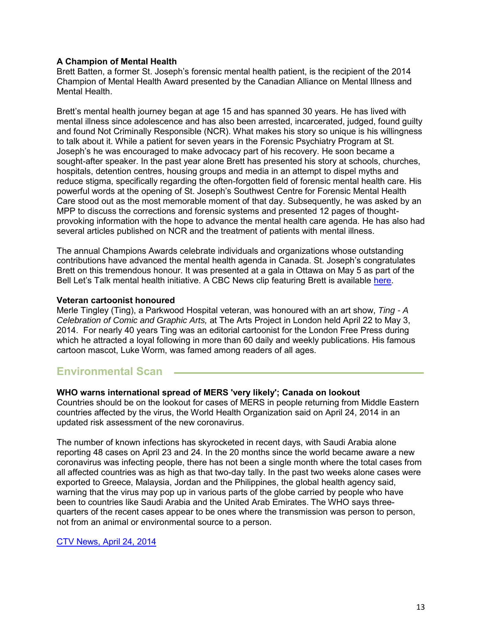# **A Champion of Mental Health**

Brett Batten, a former St. Joseph's forensic mental health patient, is the recipient of the 2014 Champion of Mental Health Award presented by the Canadian Alliance on Mental Illness and Mental Health.

Brett's mental health journey began at age 15 and has spanned 30 years. He has lived with mental illness since adolescence and has also been arrested, incarcerated, judged, found guilty and found Not Criminally Responsible (NCR). What makes his story so unique is his willingness to talk about it. While a patient for seven years in the Forensic Psychiatry Program at St. Joseph's he was encouraged to make advocacy part of his recovery. He soon became a sought-after speaker. In the past year alone Brett has presented his story at schools, churches, hospitals, detention centres, housing groups and media in an attempt to dispel myths and reduce stigma, specifically regarding the often-forgotten field of forensic mental health care. His powerful words at the opening of St. Joseph's Southwest Centre for Forensic Mental Health Care stood out as the most memorable moment of that day. Subsequently, he was asked by an MPP to discuss the corrections and forensic systems and presented 12 pages of thoughtprovoking information with the hope to advance the mental health care agenda. He has also had several articles published on NCR and the treatment of patients with mental illness.

The annual Champions Awards celebrate individuals and organizations whose outstanding contributions have advanced the mental health agenda in Canada. St. Joseph's congratulates Brett on this tremendous honour. It was presented at a gala in Ottawa on May 5 as part of the Bell Let's Talk mental health initiative. A CBC News clip featuring Brett is available [here.](http://www.cbc.ca/player/News/Canada/Ottawa/ID/2454657595/)

#### **Veteran cartoonist honoured**

Merle Tingley (Ting), a Parkwood Hospital veteran, was honoured with an art show, *Ting - A Celebration of Comic and Graphic Arts,* at The Arts Project in London held April 22 to May 3, 2014. For nearly 40 years Ting was an editorial cartoonist for the London Free Press during which he attracted a loyal following in more than 60 daily and weekly publications. His famous cartoon mascot, Luke Worm, was famed among readers of all ages.

# **Environmental Scan**

#### **WHO warns international spread of MERS 'very likely'; Canada on lookout**

Countries should be on the lookout for cases of MERS in people returning from Middle Eastern countries affected by the virus, the World Health Organization said on April 24, 2014 in an updated risk assessment of the new coronavirus.

The number of known infections has skyrocketed in recent days, with Saudi Arabia alone reporting 48 cases on April 23 and 24. In the 20 months since the world became aware a new coronavirus was infecting people, there has not been a single month where the total cases from all affected countries was as high as that two-day tally. In the past two weeks alone cases were exported to Greece, Malaysia, Jordan and the Philippines, the global health agency said, warning that the virus may pop up in various parts of the globe carried by people who have been to countries like Saudi Arabia and the United Arab Emirates. The WHO says threequarters of the recent cases appear to be ones where the transmission was person to person, not from an animal or environmental source to a person.

#### [CTV News, April 24, 2014](http://www.ctvnews.ca/health/who-warns-international-spread-of-mers-very-likely-canada-on-lookout-1.1791574)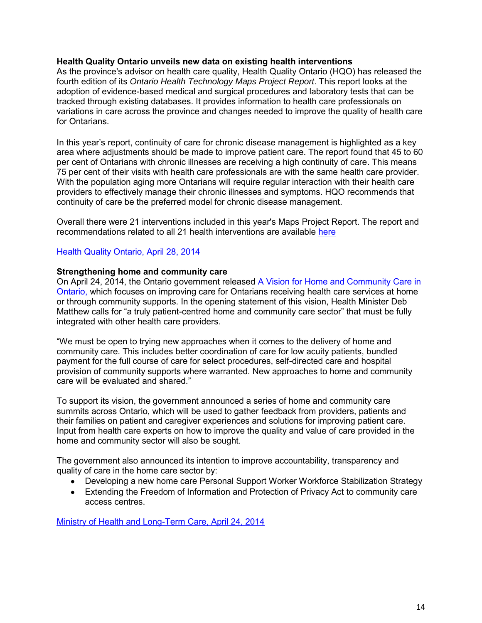## **Health Quality Ontario unveils new data on existing health interventions**

As the province's advisor on health care quality, Health Quality Ontario (HQO) has released the fourth edition of its *Ontario Health Technology Maps Project Report*. This report looks at the adoption of evidence-based medical and surgical procedures and laboratory tests that can be tracked through existing databases. It provides information to health care professionals on variations in care across the province and changes needed to improve the quality of health care for Ontarians.

In this year's report, continuity of care for chronic disease management is highlighted as a key area where adjustments should be made to improve patient care. The report found that 45 to 60 per cent of Ontarians with chronic illnesses are receiving a high continuity of care. This means 75 per cent of their visits with health care professionals are with the same health care provider. With the population aging more Ontarians will require regular interaction with their health care providers to effectively manage their chronic illnesses and symptoms. HQO recommends that continuity of care be the preferred model for chronic disease management.

Overall there were 21 interventions included in this year's Maps Project Report. The report and recommendations related to all 21 health interventions are available [here](http://www.hqontario.ca/evidence/publications-and-ohtac-recommendations/maps-project) 

## [Health Quality Ontario, April 28, 2014](http://www.hqontario.ca/Portals/0/Documents/about/media-maps-report-140428-en.pdf)

#### **Strengthening home and community care**

On April 24, 2014, the Ontario government released [A Vision for Home and Community Care in](http://www.health.gov.on.ca/en/public/programs/ccac/ccac_vision.pdf)  [Ontario,](http://www.health.gov.on.ca/en/public/programs/ccac/ccac_vision.pdf) which focuses on improving care for Ontarians receiving health care services at home or through community supports. In the opening statement of this vision, Health Minister Deb Matthew calls for "a truly patient-centred home and community care sector" that must be fully integrated with other health care providers.

"We must be open to trying new approaches when it comes to the delivery of home and community care. This includes better coordination of care for low acuity patients, bundled payment for the full course of care for select procedures, self-directed care and hospital provision of community supports where warranted. New approaches to home and community care will be evaluated and shared."

To support its vision, the government announced a series of home and community care summits across Ontario, which will be used to gather feedback from providers, patients and their families on patient and caregiver experiences and solutions for improving patient care. Input from health care experts on how to improve the quality and value of care provided in the home and community sector will also be sought.

The government also announced its intention to improve accountability, transparency and quality of care in the home care sector by:

- Developing a new home care Personal Support Worker Workforce Stabilization Strategy
- Extending the Freedom of Information and Protection of Privacy Act to community care access centres.

[Ministry of Health and Long-Term Care, April 24, 2014](http://www.health.gov.on.ca/en/news/bulletin/2014/hb_20140424_1.aspx)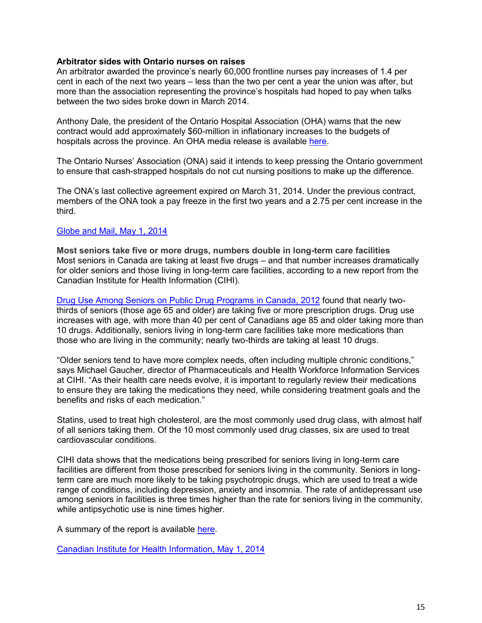## **Arbitrator sides with Ontario nurses on raises**

An arbitrator awarded the province's nearly 60,000 frontline nurses pay increases of 1.4 per cent in each of the next two years – less than the two per cent a year the union was after, but more than the association representing the province's hospitals had hoped to pay when talks between the two sides broke down in March 2014.

Anthony Dale, the president of the Ontario Hospital Association (OHA) warns that the new contract would add approximately \$60-million in inflationary increases to the budgets of hospitals across the province. An OHA media release is available [here.](http://www.oha.com/News/MediaCentre/Documents/Ontario’s%20Hospitals%20to%20Face%20Increased%20Financial%20Pressures%20Due%20to%20Arbitration%20Award.pdf)

The Ontario Nurses' Association (ONA) said it intends to keep pressing the Ontario government to ensure that cash-strapped hospitals do not cut nursing positions to make up the difference.

The ONA's last collective agreement expired on March 31, 2014. Under the previous contract, members of the ONA took a pay freeze in the first two years and a 2.75 per cent increase in the third.

# [Globe and Mail, May 1, 2014](http://www.theglobeandmail.com/news/national/arbitrator-sides-with-ontario-nurses-on-raises/article18385244/?cmpid=rss1)

**Most seniors take five or more drugs, numbers double in long-term care facilities**  Most seniors in Canada are taking at least five drugs – and that number increases dramatically for older seniors and those living in long-term care facilities, according to a new report from the Canadian Institute for Health Information (CIHI).

[Drug Use Among Seniors on Public Drug Programs in Canada, 2012](https://secure.cihi.ca/free_products/Drug_Use_in_Seniors_on_Public_Drug_Programs_2012_EN_web.pdf) found that nearly twothirds of seniors (those age 65 and older) are taking five or more prescription drugs. Drug use increases with age, with more than 40 per cent of Canadians age 85 and older taking more than 10 drugs. Additionally, seniors living in long-term care facilities take more medications than those who are living in the community; nearly two-thirds are taking at least 10 drugs.

"Older seniors tend to have more complex needs, often including multiple chronic conditions," says Michael Gaucher, director of Pharmaceuticals and Health Workforce Information Services at CIHI. "As their health care needs evolve, it is important to regularly review their medications to ensure they are taking the medications they need, while considering treatment goals and the benefits and risks of each medication."

Statins, used to treat high cholesterol, are the most commonly used drug class, with almost half of all seniors taking them. Of the 10 most commonly used drug classes, six are used to treat cardiovascular conditions.

CIHI data shows that the medications being prescribed for seniors living in long-term care facilities are different from those prescribed for seniors living in the community. Seniors in longterm care are much more likely to be taking psychotropic drugs, which are used to treat a wide range of conditions, including depression, anxiety and insomnia. The rate of antidepressant use among seniors in facilities is three times higher than the rate for seniors living in the community, while antipsychotic use is nine times higher.

A summary of the report is available [here.](http://www.cihi.ca/cihi-ext-portal/pdf/internet/SENIORS_PUBLIC_SUM_EN)

[Canadian Institute for Health Information, May 1, 2014](http://www.cihi.ca/cihi-ext-portal/internet/en/document/types+of+care/pharmaceutical/release_01may14)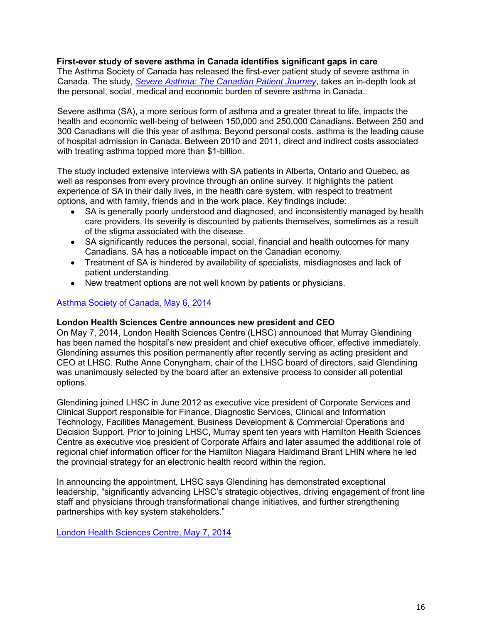## **First-ever study of severe asthma in Canada identifies significant gaps in care**

The Asthma Society of Canada has released the first-ever patient study of severe asthma in Canada. The study, *[Severe Asthma: The Canadian Patient Journey](http://www.asthma.ca/pdfs/SAstudyES.pdf)*, takes an in-depth look at the personal, social, medical and economic burden of severe asthma in Canada.

Severe asthma (SA), a more serious form of asthma and a greater threat to life, impacts the health and economic well-being of between 150,000 and 250,000 Canadians. Between 250 and 300 Canadians will die this year of asthma. Beyond personal costs, asthma is the leading cause of hospital admission in Canada. Between 2010 and 2011, direct and indirect costs associated with treating asthma topped more than \$1-billion.

The study included extensive interviews with SA patients in Alberta, Ontario and Quebec, as well as responses from every province through an online survey. It highlights the patient experience of SA in their daily lives, in the health care system, with respect to treatment options, and with family, friends and in the work place. Key findings include:

- SA is generally poorly understood and diagnosed, and inconsistently managed by health care providers. Its severity is discounted by patients themselves, sometimes as a result of the stigma associated with the disease.
- SA significantly reduces the personal, social, financial and health outcomes for many Canadians. SA has a noticeable impact on the Canadian economy.
- Treatment of SA is hindered by availability of specialists, misdiagnoses and lack of patient understanding.
- New treatment options are not well known by patients or physicians.

# [Asthma Society of Canada, May 6, 2014](http://www.asthma.ca/pdfs/Severe%20Asthma%20Study%20Press%20Release.pdf)

# **London Health Sciences Centre announces new president and CEO**

On May 7, 2014, London Health Sciences Centre (LHSC) announced that Murray Glendining has been named the hospital's new president and chief executive officer, effective immediately. Glendining assumes this position permanently after recently serving as acting president and CEO at LHSC. Ruthe Anne Conyngham, chair of the LHSC board of directors, said Glendining was unanimously selected by the board after an extensive process to consider all potential options.

Glendining joined LHSC in June 2012 as executive vice president of Corporate Services and Clinical Support responsible for Finance, Diagnostic Services, Clinical and Information Technology, Facilities Management, Business Development & Commercial Operations and Decision Support. Prior to joining LHSC, Murray spent ten years with Hamilton Health Sciences Centre as executive vice president of Corporate Affairs and later assumed the additional role of regional chief information officer for the Hamilton Niagara Haldimand Brant LHIN where he led the provincial strategy for an electronic health record within the region.

In announcing the appointment, LHSC says Glendining has demonstrated exceptional leadership, "significantly advancing LHSC's strategic objectives, driving engagement of front line staff and physicians through transformational change initiatives, and further strengthening partnerships with key system stakeholders."

[London Health Sciences Centre, May 7, 2014](http://www.lhsc.on.ca/About_Us/LHSC/Publications/Homepage/Murray-Glendining-named-President-and-CEO-of-London-Health-Sciences-Centre.htm)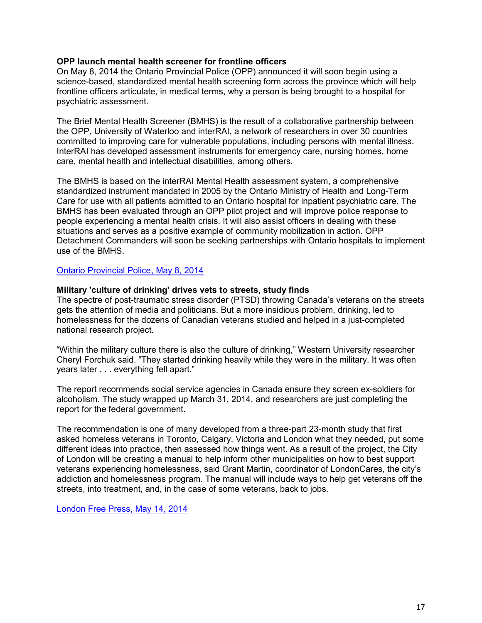## **OPP launch mental health screener for frontline officers**

On May 8, 2014 the Ontario Provincial Police (OPP) announced it will soon begin using a science-based, standardized mental health screening form across the province which will help frontline officers articulate, in medical terms, why a person is being brought to a hospital for psychiatric assessment.

The Brief Mental Health Screener (BMHS) is the result of a collaborative partnership between the OPP, University of Waterloo and interRAI, a network of researchers in over 30 countries committed to improving care for vulnerable populations, including persons with mental illness. InterRAI has developed assessment instruments for emergency care, nursing homes, home care, mental health and intellectual disabilities, among others.

The BMHS is based on the interRAI Mental Health assessment system, a comprehensive standardized instrument mandated in 2005 by the Ontario Ministry of Health and Long-Term Care for use with all patients admitted to an Ontario hospital for inpatient psychiatric care. The BMHS has been evaluated through an OPP pilot project and will improve police response to people experiencing a mental health crisis. It will also assist officers in dealing with these situations and serves as a positive example of community mobilization in action. OPP Detachment Commanders will soon be seeking partnerships with Ontario hospitals to implement use of the BMHS.

## [Ontario Provincial Police, May 8, 2014](http://www.newswire.ca/en/story/1352241/opp-launch-brief-mental-health-screener-for-frontline-officers)

# **Military 'culture of drinking' drives vets to streets, study finds**

The spectre of post-traumatic stress disorder (PTSD) throwing Canada's veterans on the streets gets the attention of media and politicians. But a more insidious problem, drinking, led to homelessness for the dozens of Canadian veterans studied and helped in a just-completed national research project.

"Within the military culture there is also the culture of drinking," Western University researcher Cheryl Forchuk said. "They started drinking heavily while they were in the military. It was often years later . . . everything fell apart."

The report recommends social service agencies in Canada ensure they screen ex-soldiers for alcoholism. The study wrapped up March 31, 2014, and researchers are just completing the report for the federal government.

The recommendation is one of many developed from a three-part 23-month study that first asked homeless veterans in Toronto, Calgary, Victoria and London what they needed, put some different ideas into practice, then assessed how things went. As a result of the project, the City of London will be creating a manual to help inform other municipalities on how to best support veterans experiencing homelessness, said Grant Martin, coordinator of LondonCares, the city's addiction and homelessness program. The manual will include ways to help get veterans off the streets, into treatment, and, in the case of some veterans, back to jobs.

[London Free Press, May 14, 2014](http://www.lfpress.com/2014/05/14/military-culture-of-drinking-drives-vets-to-streets-study-finds)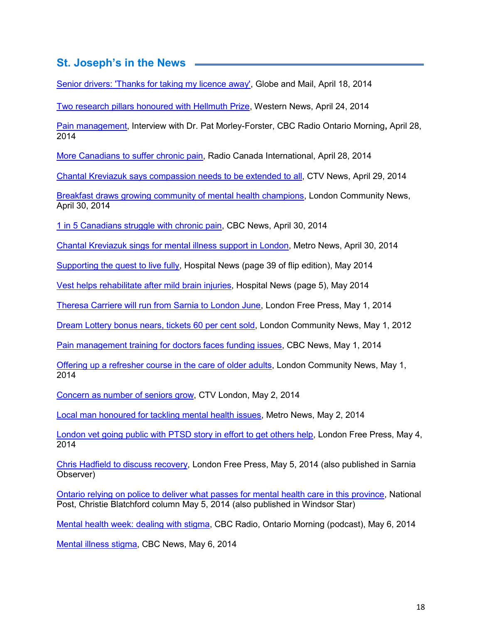# **St. Joseph's in the News**

[Senior drivers: 'Thanks for taking my licence away',](http://www.theglobeandmail.com/globe-drive/car-life/senior-drivers-thanks-for-taking-my-licence-away/article18064444/) Globe and Mail, April 18, 2014

[Two research pillars honoured with Hellmuth Prize,](http://communications.uwo.ca/western_news/stories/2014/April/two_research_pillars_honoured_with_hellmuth_prize.html) Western News, April 24, 2014

[Pain management,](http://podcast.cbc.ca/mp3/podcasts/ontariomorning_20140428_77365.mp3) Interview with Dr. Pat Morley-Forster, CBC Radio Ontario Morning**,** April 28, 2014

[More Canadians to suffer chronic pain,](http://www.rcinet.ca/en/2014/04/28/more-canadians-to-suffer-chronic-pain/) Radio Canada International, April 28, 2014

[Chantal Kreviazuk says compassion needs to be extended to all,](http://london.ctvnews.ca/chantal-kreviazuk-says-compassion-needs-to-be-extended-to-all-1.1798262) CTV News, April 29, 2014

[Breakfast draws growing community of mental health champions,](http://www.londoncommunitynews.com/news-story/4491038-breakfast-draws-growing-community-of-mental-health-champions/) London Community News, April 30, 2014

[1 in 5 Canadians struggle with chronic pain,](http://www.cbc.ca/news/canada/british-columbia/1-in-5-canadians-struggle-with-chronic-pain-1.2622277) CBC News, April 30, 2014

[Chantal Kreviazuk sings for mental illness support in London,](http://metronews.ca/news/london/1017885/chantal-kreviazuk-sings-for-mental-illness-support-in-london/) Metro News, April 30, 2014

[Supporting the quest to live fully,](http://issuu.com/hospitalnews/docs/flip_hosp__nurse_050314_edit?e=8107642/7685314) Hospital News (page 39 of flip edition), May 2014

[Vest helps rehabilitate after mild brain injuries,](http://issuu.com/hospitalnews/docs/flip_hosp__nurse_050314_edit?e=8107642/7685314) Hospital News (page 5), May 2014

[Theresa Carriere will run from Sarnia to London June,](http://www.lfpress.com/2014/05/01/theresa-carriere-will-run-from-sarnia-to-london-june-13) London Free Press, May 1, 2014

[Dream Lottery bonus nears, tickets 60 per cent sold,](http://www.londoncommunitynews.com/news-story/4494082-dream-lottery-bonus-nears-tickets-60-per-cent-sold/) London Community News, May 1, 2012

[Pain management training for doctors faces funding issues,](http://www.cbc.ca/news/canada/british-columbia/pain-management-training-for-doctors-faces-funding-issues-1.2626297) CBC News, May 1, 2014

[Offering up a refresher course in the care of older adults,](http://www.londoncommunitynews.com/news-story/4493110-offering-up-a-refresher-course-in-the-care-of-older-adults/) London Community News, May 1, 2014

[Concern as number of seniors grow,](http://london.ctvnews.ca/video?clipId=355052) CTV London, May 2, 2014

[Local man honoured for tackling mental health issues,](http://issuu.com/metro_canada/docs/20140502_ca_london/4?e=3072236/7794383) Metro News, May 2, 2014

[London vet going public with PTSD story in effort to get others help,](http://www.lfpress.com/2014/05/03/london-vet-going-public-with-ptsd-story-in-effort-to-get-others-help) London Free Press, May 4, 2014

[Chris Hadfield to discuss recovery,](http://www.lfpress.com/2014/05/05/chris-hadfield-to-discuss-recovery) London Free Press, May 5, 2014 (also published in Sarnia Observer)

[Ontario relying on police to deliver what passes for mental health care in this province,](http://fullcomment.nationalpost.com/2014/05/05/christie-blatchford-ontario-mental-health-care/) National Post, Christie Blatchford column May 5, 2014 (also published in Windsor Star)

[Mental health week: dealing with stigma,](https://www.sjhc.london.on.ca/sites/default/files/pdf/2014-05-06%200833.mp3) CBC Radio, Ontario Morning (podcast), May 6, 2014

[Mental illness stigma,](http://www.cbc.ca/player/News/Canada/Ottawa/ID/2454657595/) CBC News, May 6, 2014